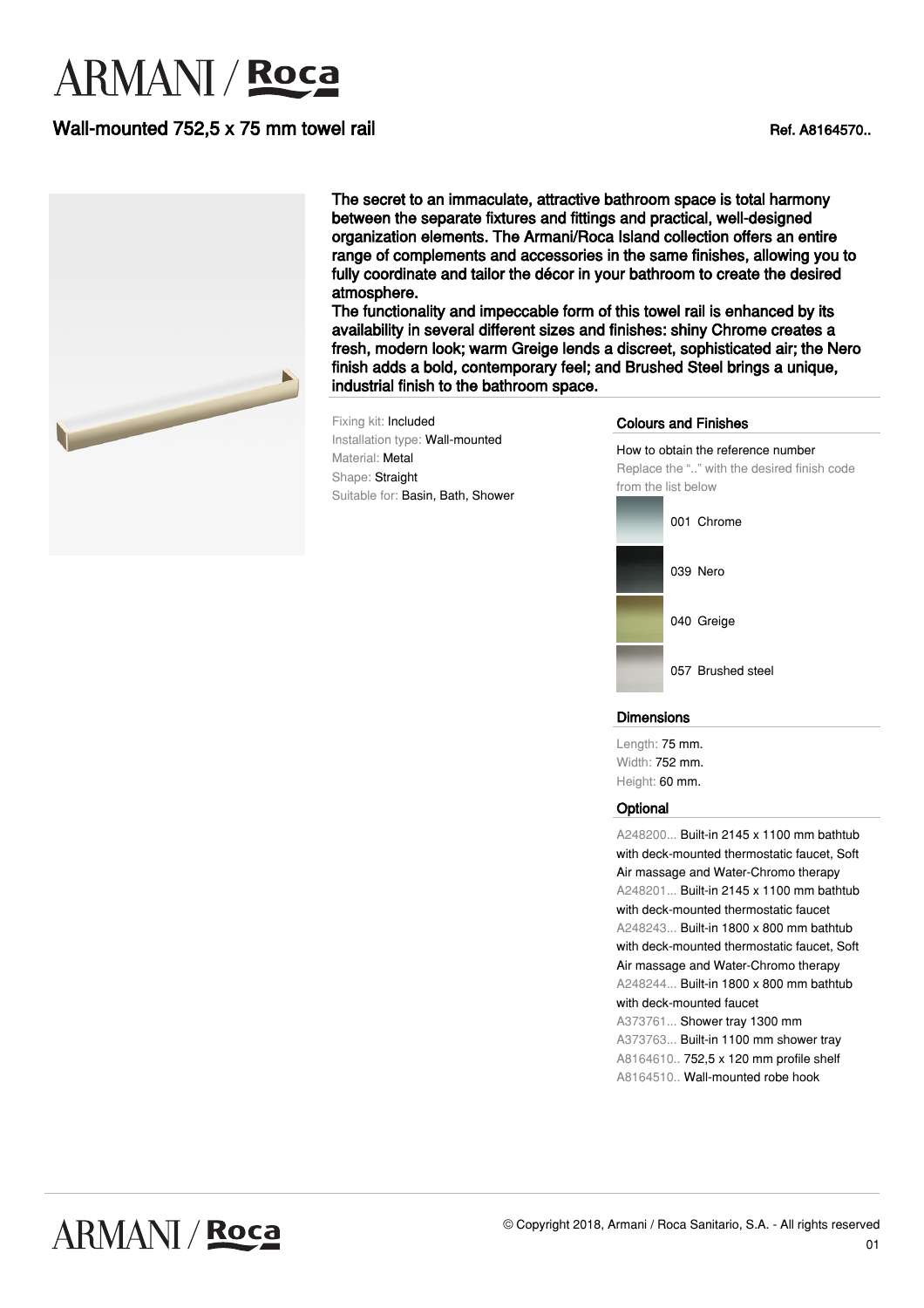# **ARMANI** / Roca

## Wall-mounted 752.5 x 75 mm towel rail Ref. A8164570..



The secret to an immaculate, attractive bathroom space is total harmony between the separate fixtures and fittings and practical, well-designed organization elements. The Armani/Roca Island collection offers an entire range of complements and accessories in the same finishes, allowing you to fully coordinate and tailor the décor in your bathroom to create the desired atmosphere.

The functionality and impeccable form of this towel rail is enhanced by its availability in several different sizes and finishes: shiny Chrome creates a fresh, modern look; warm Greige lends a discreet, sophisticated air; the Nero finish adds a bold, contemporary feel; and Brushed Steel brings a unique, industrial finish to the bathroom space.

Fixing kit: Included Installation type: Wall-mounted Material: Metal Shape: Straight Suitable for: Basin, Bath, Shower

#### Colours and Finishes

How to obtain the reference number Replace the ".." with the desired finish code from the list below



#### Dimensions

Length: 75 mm. Width: 752 mm. Height: 60 mm.

#### **Optional**

A248200... Built-in 2145 x 1100 mm bathtub with deck-mounted thermostatic faucet, Soft Air massage and Water-Chromo therapy A248201... Built-in 2145 x 1100 mm bathtub with deck-mounted thermostatic faucet A248243... Built-in 1800 x 800 mm bathtub with deck-mounted thermostatic faucet, Soft Air massage and Water-Chromo therapy A248244... Built-in 1800 x 800 mm bathtub with deck-mounted faucet A373761... Shower tray 1300 mm A373763... Built-in 1100 mm shower tray A8164610.. 752,5 x 120 mm profile shelf A8164510.. Wall-mounted robe hook

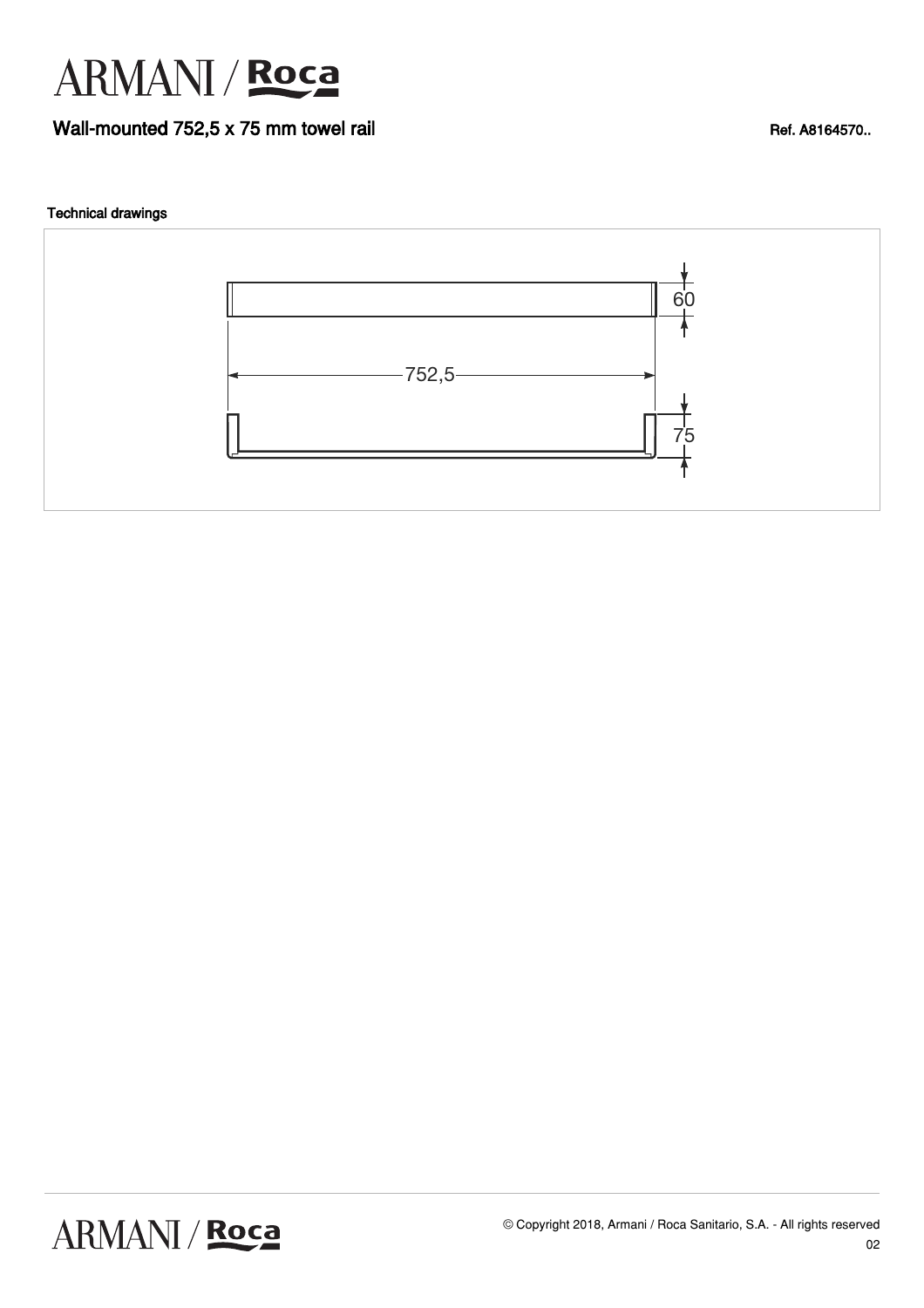

### Wall-mounted 752,5 x 75 mm towel rail Ref. A8164570..

#### Technical drawings